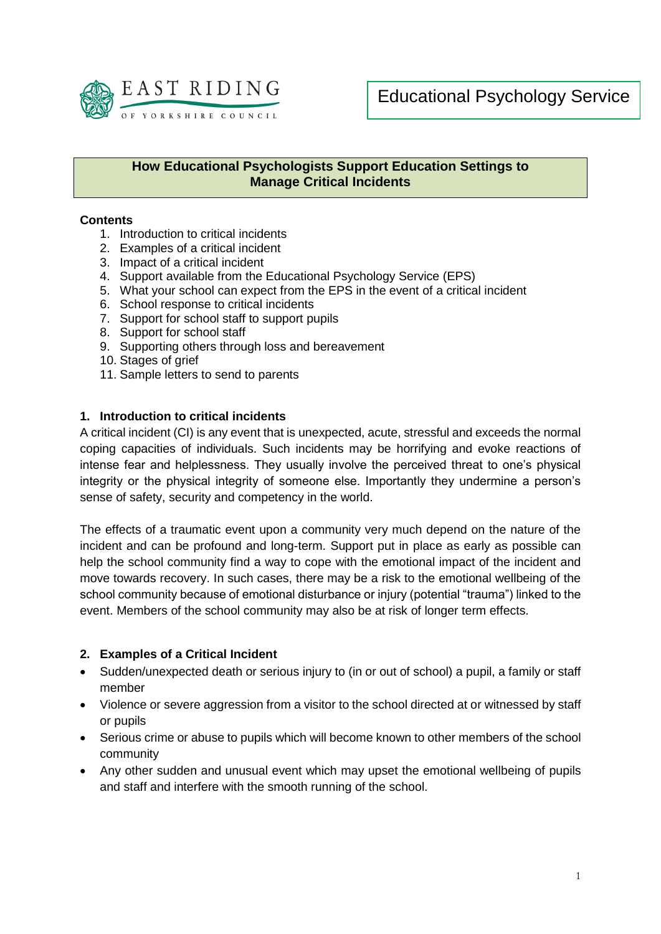

## **How Educational Psychologists Support Education Settings to Manage Critical Incidents**

### **Contents**

- 1. Introduction to critical incidents
- 2. Examples of a critical incident
- 3. Impact of a critical incident
- 4. Support available from the Educational Psychology Service (EPS)
- 5. What your school can expect from the EPS in the event of a critical incident
- 6. School response to critical incidents
- 7. Support for school staff to support pupils
- 8. Support for school staff
- 9. Supporting others through loss and bereavement
- 10. Stages of grief
- 11. Sample letters to send to parents

### **1. Introduction to critical incidents**

A critical incident (CI) is any event that is unexpected, acute, stressful and exceeds the normal coping capacities of individuals. Such incidents may be horrifying and evoke reactions of intense fear and helplessness. They usually involve the perceived threat to one's physical integrity or the physical integrity of someone else. Importantly they undermine a person's sense of safety, security and competency in the world.

The effects of a traumatic event upon a community very much depend on the nature of the incident and can be profound and long-term. Support put in place as early as possible can help the school community find a way to cope with the emotional impact of the incident and move towards recovery. In such cases, there may be a risk to the emotional wellbeing of the school community because of emotional disturbance or injury (potential "trauma") linked to the event. Members of the school community may also be at risk of longer term effects.

#### **2. Examples of a Critical Incident**

- Sudden/unexpected death or serious injury to (in or out of school) a pupil, a family or staff member
- Violence or severe aggression from a visitor to the school directed at or witnessed by staff or pupils
- Serious crime or abuse to pupils which will become known to other members of the school community
- Any other sudden and unusual event which may upset the emotional wellbeing of pupils and staff and interfere with the smooth running of the school.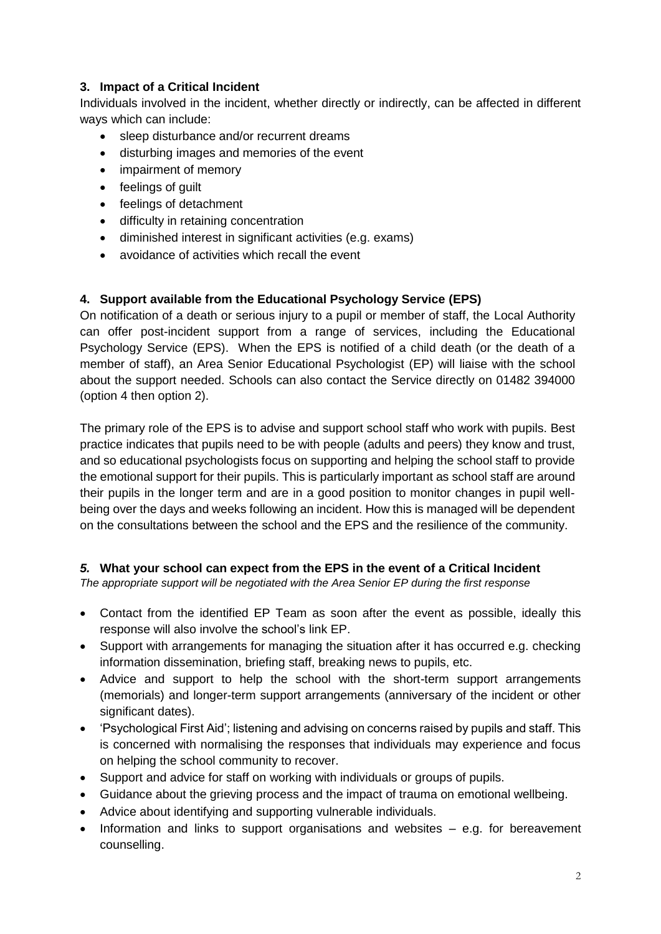## **3. Impact of a Critical Incident**

Individuals involved in the incident, whether directly or indirectly, can be affected in different ways which can include:

- sleep disturbance and/or recurrent dreams
- disturbing images and memories of the event
- impairment of memory
- feelings of quilt
- feelings of detachment
- difficulty in retaining concentration
- diminished interest in significant activities (e.g. exams)
- avoidance of activities which recall the event

## **4. Support available from the Educational Psychology Service (EPS)**

On notification of a death or serious injury to a pupil or member of staff, the Local Authority can offer post-incident support from a range of services, including the Educational Psychology Service (EPS). When the EPS is notified of a child death (or the death of a member of staff), an Area Senior Educational Psychologist (EP) will liaise with the school about the support needed. Schools can also contact the Service directly on 01482 394000 (option 4 then option 2).

The primary role of the EPS is to advise and support school staff who work with pupils. Best practice indicates that pupils need to be with people (adults and peers) they know and trust, and so educational psychologists focus on supporting and helping the school staff to provide the emotional support for their pupils. This is particularly important as school staff are around their pupils in the longer term and are in a good position to monitor changes in pupil wellbeing over the days and weeks following an incident. How this is managed will be dependent on the consultations between the school and the EPS and the resilience of the community.

## *5.* **What your school can expect from the EPS in the event of a Critical Incident**

*The appropriate support will be negotiated with the Area Senior EP during the first response*

- Contact from the identified EP Team as soon after the event as possible, ideally this response will also involve the school's link EP.
- Support with arrangements for managing the situation after it has occurred e.g. checking information dissemination, briefing staff, breaking news to pupils, etc.
- Advice and support to help the school with the short-term support arrangements (memorials) and longer-term support arrangements (anniversary of the incident or other significant dates).
- 'Psychological First Aid'; listening and advising on concerns raised by pupils and staff. This is concerned with normalising the responses that individuals may experience and focus on helping the school community to recover.
- Support and advice for staff on working with individuals or groups of pupils.
- Guidance about the grieving process and the impact of trauma on emotional wellbeing.
- Advice about identifying and supporting vulnerable individuals.
- $\bullet$  Information and links to support organisations and websites  $-$  e.g. for bereavement counselling.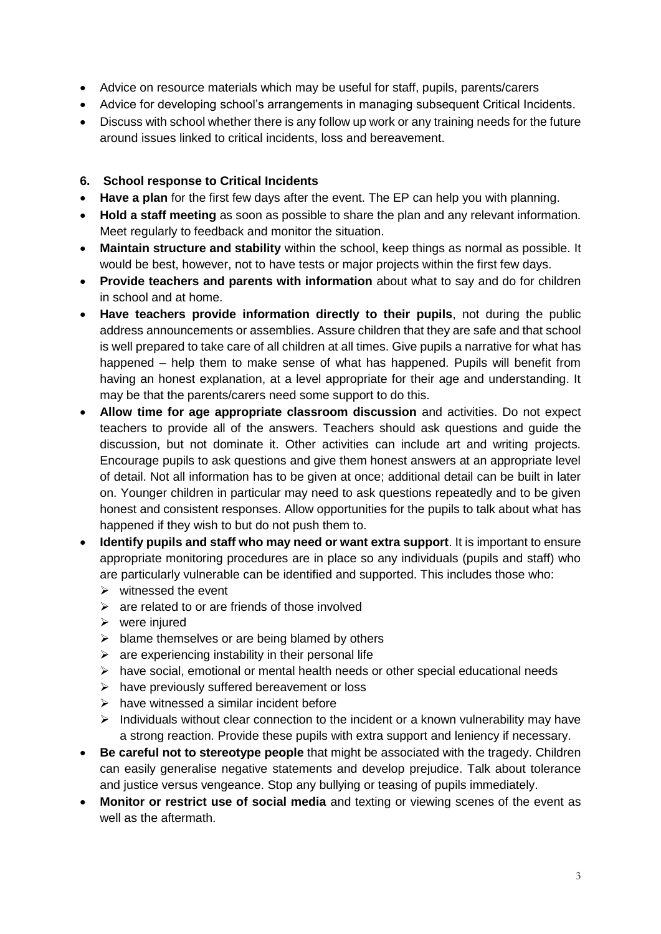- Advice on resource materials which may be useful for staff, pupils, parents/carers
- Advice for developing school's arrangements in managing subsequent Critical Incidents.
- Discuss with school whether there is any follow up work or any training needs for the future around issues linked to critical incidents, loss and bereavement.

### **6. School response to Critical Incidents**

- **Have a plan** for the first few days after the event. The EP can help you with planning.
- **Hold a staff meeting** as soon as possible to share the plan and any relevant information. Meet regularly to feedback and monitor the situation.
- **Maintain structure and stability** within the school, keep things as normal as possible. It would be best, however, not to have tests or major projects within the first few days.
- **Provide teachers and parents with information** about what to say and do for children in school and at home.
- **Have teachers provide information directly to their pupils**, not during the public address announcements or assemblies. Assure children that they are safe and that school is well prepared to take care of all children at all times. Give pupils a narrative for what has happened – help them to make sense of what has happened. Pupils will benefit from having an honest explanation, at a level appropriate for their age and understanding. It may be that the parents/carers need some support to do this.
- **Allow time for age appropriate classroom discussion** and activities. Do not expect teachers to provide all of the answers. Teachers should ask questions and guide the discussion, but not dominate it. Other activities can include art and writing projects. Encourage pupils to ask questions and give them honest answers at an appropriate level of detail. Not all information has to be given at once; additional detail can be built in later on. Younger children in particular may need to ask questions repeatedly and to be given honest and consistent responses. Allow opportunities for the pupils to talk about what has happened if they wish to but do not push them to.
- **Identify pupils and staff who may need or want extra support**. It is important to ensure appropriate monitoring procedures are in place so any individuals (pupils and staff) who are particularly vulnerable can be identified and supported. This includes those who:
	- $\triangleright$  witnessed the event
	- $\triangleright$  are related to or are friends of those involved
	- $\triangleright$  were injured
	- $\triangleright$  blame themselves or are being blamed by others
	- $\triangleright$  are experiencing instability in their personal life
	- $\triangleright$  have social, emotional or mental health needs or other special educational needs
	- $\triangleright$  have previously suffered bereavement or loss
	- $\triangleright$  have witnessed a similar incident before
	- $\triangleright$  Individuals without clear connection to the incident or a known vulnerability may have a strong reaction. Provide these pupils with extra support and leniency if necessary.
- **Be careful not to stereotype people** that might be associated with the tragedy. Children can easily generalise negative statements and develop prejudice. Talk about tolerance and justice versus vengeance. Stop any bullying or teasing of pupils immediately.
- **Monitor or restrict use of social media** and texting or viewing scenes of the event as well as the aftermath.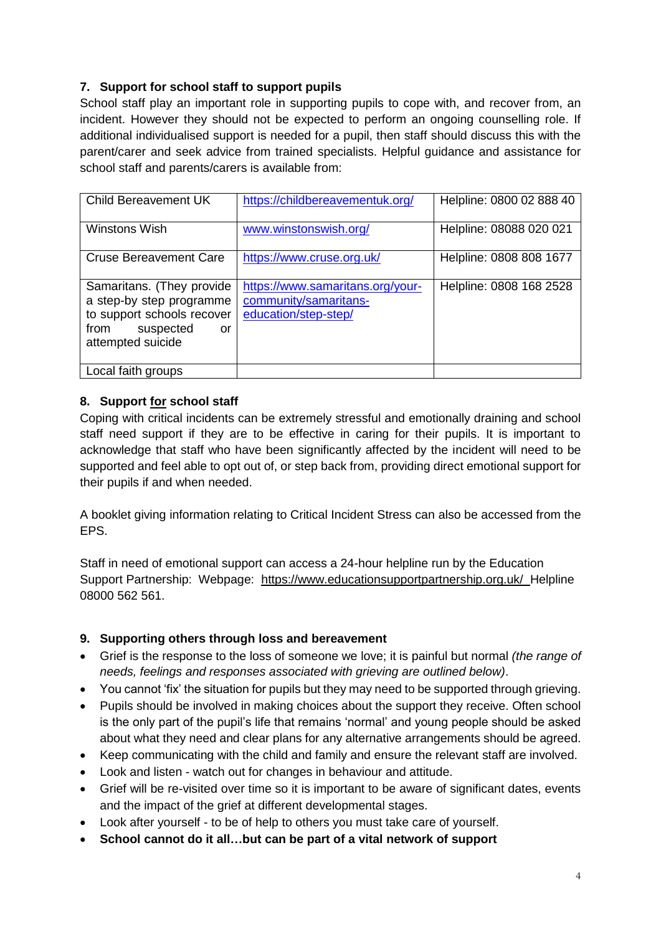# **7. Support for school staff to support pupils**

School staff play an important role in supporting pupils to cope with, and recover from, an incident. However they should not be expected to perform an ongoing counselling role. If additional individualised support is needed for a pupil, then staff should discuss this with the parent/carer and seek advice from trained specialists. Helpful guidance and assistance for school staff and parents/carers is available from:

| <b>Child Bereavement UK</b>                                                                                                                    | https://childbereavementuk.org/                                                   | Helpline: 0800 02 888 40 |
|------------------------------------------------------------------------------------------------------------------------------------------------|-----------------------------------------------------------------------------------|--------------------------|
| Winstons Wish                                                                                                                                  | www.winstonswish.org/                                                             | Helpline: 08088 020 021  |
| <b>Cruse Bereavement Care</b>                                                                                                                  | https://www.cruse.org.uk/                                                         | Helpline: 0808 808 1677  |
| Samaritans. (They provide<br>a step-by step programme<br>to support schools recover<br>suspected<br>from<br><sub>or</sub><br>attempted suicide | https://www.samaritans.org/your-<br>community/samaritans-<br>education/step-step/ | Helpline: 0808 168 2528  |
| Local faith groups                                                                                                                             |                                                                                   |                          |

# **8. Support for school staff**

Coping with critical incidents can be extremely stressful and emotionally draining and school staff need support if they are to be effective in caring for their pupils. It is important to acknowledge that staff who have been significantly affected by the incident will need to be supported and feel able to opt out of, or step back from, providing direct emotional support for their pupils if and when needed.

A booklet giving information relating to Critical Incident Stress can also be accessed from the EPS.

Staff in need of emotional support can access a 24-hour helpline run by the Education Support Partnership: Webpage: <https://www.educationsupportpartnership.org.uk/>Helpline 08000 562 561.

# **9. Supporting others through loss and bereavement**

- Grief is the response to the loss of someone we love; it is painful but normal *(the range of needs, feelings and responses associated with grieving are outlined below)*.
- You cannot 'fix' the situation for pupils but they may need to be supported through grieving.
- Pupils should be involved in making choices about the support they receive. Often school is the only part of the pupil's life that remains 'normal' and young people should be asked about what they need and clear plans for any alternative arrangements should be agreed.
- Keep communicating with the child and family and ensure the relevant staff are involved.
- Look and listen watch out for changes in behaviour and attitude.
- Grief will be re-visited over time so it is important to be aware of significant dates, events and the impact of the grief at different developmental stages.
- Look after yourself to be of help to others you must take care of yourself.
- **School cannot do it all…but can be part of a vital network of support**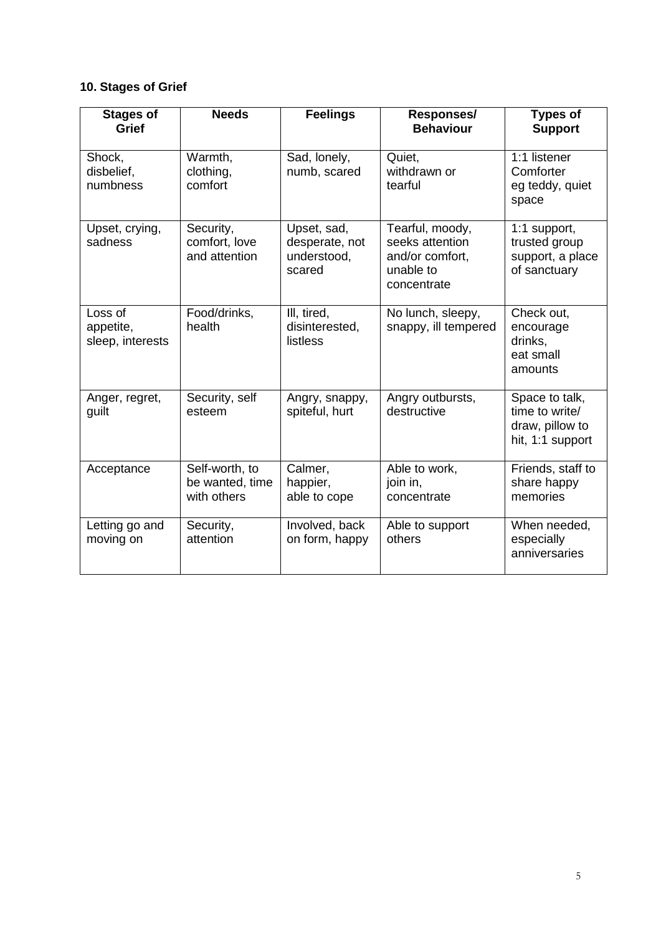# **10. Stages of Grief**

| <b>Stages of</b><br>Grief                | <b>Needs</b>                                     | <b>Feelings</b>                                        | Responses/<br><b>Behaviour</b>                                                    | <b>Types of</b><br><b>Support</b>                                       |
|------------------------------------------|--------------------------------------------------|--------------------------------------------------------|-----------------------------------------------------------------------------------|-------------------------------------------------------------------------|
| Shock,<br>disbelief,<br>numbness         | Warmth,<br>clothing,<br>comfort                  | Sad, lonely,<br>numb, scared                           | Quiet,<br>withdrawn or<br>tearful                                                 | 1:1 listener<br>Comforter<br>eg teddy, quiet<br>space                   |
| Upset, crying,<br>sadness                | Security,<br>comfort, love<br>and attention      | Upset, sad,<br>desperate, not<br>understood,<br>scared | Tearful, moody,<br>seeks attention<br>and/or comfort,<br>unable to<br>concentrate | 1:1 support,<br>trusted group<br>support, a place<br>of sanctuary       |
| Loss of<br>appetite,<br>sleep, interests | Food/drinks,<br>health                           | III, tired,<br>disinterested,<br>listless              | No lunch, sleepy,<br>snappy, ill tempered                                         | Check out,<br>encourage<br>drinks,<br>eat small<br>amounts              |
| Anger, regret,<br>guilt                  | Security, self<br>esteem                         | Angry, snappy,<br>spiteful, hurt                       | Angry outbursts,<br>destructive                                                   | Space to talk,<br>time to write/<br>draw, pillow to<br>hit, 1:1 support |
| Acceptance                               | Self-worth, to<br>be wanted, time<br>with others | Calmer,<br>happier,<br>able to cope                    | Able to work,<br>join in,<br>concentrate                                          | Friends, staff to<br>share happy<br>memories                            |
| Letting go and<br>moving on              | Security,<br>attention                           | Involved, back<br>on form, happy                       | Able to support<br>others                                                         | When needed,<br>especially<br>anniversaries                             |